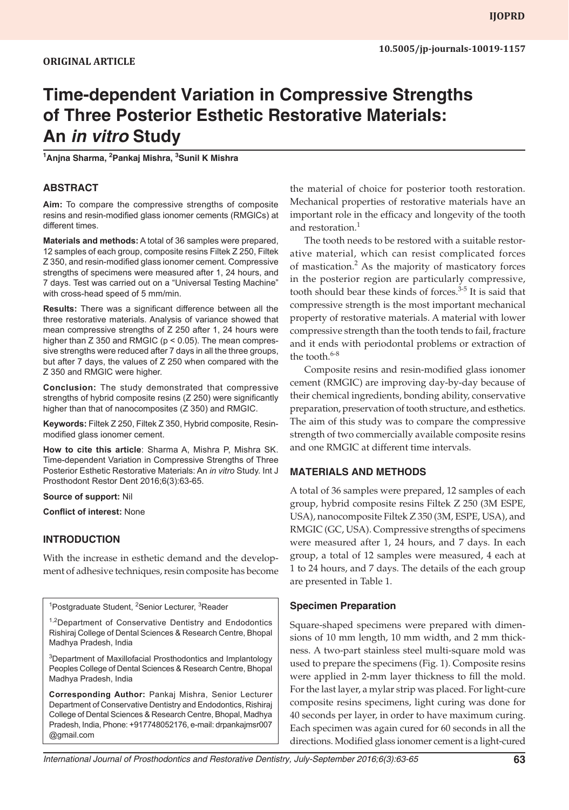# **Time-dependent Variation in Compressive Strengths of Three Posterior Esthetic Restorative Materials: An** *in vitro* **Study**

**1 Anjna Sharma, 2 Pankaj Mishra, 3 Sunil K Mishra**

## **ABSTRACT**

**Aim:** To compare the compressive strengths of composite resins and resin-modified glass ionomer cements (RMGICs) at different times.

**Materials and methods:** A total of 36 samples were prepared, 12 samples of each group, composite resins Filtek Z 250, Filtek Z 350, and resin-modified glass ionomer cement. Compressive strengths of specimens were measured after 1, 24 hours, and 7 days. Test was carried out on a "Universal Testing Machine" with cross-head speed of 5 mm/min.

**Results:** There was a significant difference between all the three restorative materials. Analysis of variance showed that mean compressive strengths of Z 250 after 1, 24 hours were higher than  $Z$  350 and RMGIC ( $p < 0.05$ ). The mean compressive strengths were reduced after 7 days in all the three groups, but after 7 days, the values of Z 250 when compared with the Z 350 and RMGIC were higher.

**Conclusion:** The study demonstrated that compressive strengths of hybrid composite resins (Z 250) were significantly higher than that of nanocomposites (Z 350) and RMGIC.

**Keywords:** Filtek Z 250, Filtek Z 350, Hybrid composite, Resinmodified glass ionomer cement.

**How to cite this article**: Sharma A, Mishra P, Mishra SK. Time-dependent Variation in Compressive Strengths of Three Posterior Esthetic Restorative Materials: An *in vitro* Study. Int J Prosthodont Restor Dent 2016;6(3):63-65.

#### **Source of support:** Nil

**Conflict of interest:** None

## **INTRODUCTION**

With the increase in esthetic demand and the development of adhesive techniques, resin composite has become

<sup>1</sup>Postgraduate Student, <sup>2</sup>Senior Lecturer, <sup>3</sup>Reader

<sup>1,2</sup>Department of Conservative Dentistry and Endodontics Rishiraj College of Dental Sciences & Research Centre, Bhopal Madhya Pradesh, India

<sup>3</sup>Department of Maxillofacial Prosthodontics and Implantology Peoples College of Dental Sciences & Research Centre, Bhopal Madhya Pradesh, India

**Corresponding Author:** Pankaj Mishra, Senior Lecturer Department of Conservative Dentistry and Endodontics, Rishiraj College of Dental Sciences & Research Centre, Bhopal, Madhya Pradesh, India, Phone: +917748052176, e-mail: drpankajmsr007 @gmail.com

the material of choice for posterior tooth restoration. Mechanical properties of restorative materials have an important role in the efficacy and longevity of the tooth and restoration.<sup>1</sup>

The tooth needs to be restored with a suitable restorative material, which can resist complicated forces of mastication.<sup>2</sup> As the majority of masticatory forces in the posterior region are particularly compressive, tooth should bear these kinds of forces.<sup>3-5</sup> It is said that compressive strength is the most important mechanical property of restorative materials. A material with lower compressive strength than the tooth tends to fail, fracture and it ends with periodontal problems or extraction of the tooth. $6-8$ 

Composite resins and resin-modified glass ionomer cement (RMGIC) are improving day-by-day because of their chemical ingredients, bonding ability, conservative preparation, preservation of tooth structure, and esthetics. The aim of this study was to compare the compressive strength of two commercially available composite resins and one RMGIC at different time intervals.

## **MATERIALS AND METHODS**

A total of 36 samples were prepared, 12 samples of each group, hybrid composite resins Filtek Z 250 (3M ESPE, USA), nanocomposite Filtek Z 350 (3M, ESPE, USA), and RMGIC (GC, USA). Compressive strengths of specimens were measured after 1, 24 hours, and 7 days. In each group, a total of 12 samples were measured, 4 each at 1 to 24 hours, and 7 days. The details of the each group are presented in Table 1.

## **Specimen Preparation**

Square-shaped specimens were prepared with dimensions of 10 mm length, 10 mm width, and 2 mm thickness. A two-part stainless steel multi-square mold was used to prepare the specimens (Fig. 1). Composite resins were applied in 2-mm layer thickness to fill the mold. For the last layer, a mylar strip was placed. For light-cure composite resins specimens, light curing was done for 40 seconds per layer, in order to have maximum curing. Each specimen was again cured for 60 seconds in all the directions. Modified glass ionomer cement is a light-cured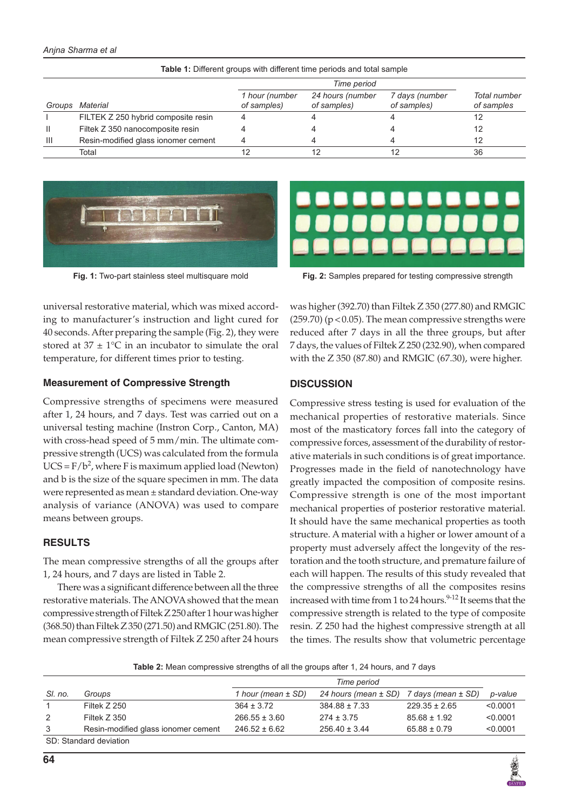#### *Anjna Sharma et al*

| Groups | Material                            | 1 hour (number<br>of samples) | 24 hours (number<br>of samples) | 7 days (number<br>of samples) | Total number<br>of samples |
|--------|-------------------------------------|-------------------------------|---------------------------------|-------------------------------|----------------------------|
|        | FILTEK Z 250 hybrid composite resin |                               |                                 |                               |                            |
|        | Filtek Z 350 nanocomposite resin    |                               |                                 |                               | 12                         |
| Ш      | Resin-modified glass ionomer cement |                               |                                 |                               | 12                         |
|        | Total                               |                               |                                 |                               | 36                         |

**Table 1:** Different groups with different time periods and total sample





**Fig. 1:** Two-part stainless steel multisquare mold **Fig. 2:** Samples prepared for testing compressive strength

universal restorative material, which was mixed according to manufacturer's instruction and light cured for 40 seconds. After preparing the sample (Fig. 2), they were stored at  $37 \pm 1$ °C in an incubator to simulate the oral temperature, for different times prior to testing.

### **Measurement of Compressive Strength**

Compressive strengths of specimens were measured after 1, 24 hours, and 7 days. Test was carried out on a universal testing machine (Instron Corp., Canton, MA) with cross-head speed of 5 mm/min. The ultimate compressive strength (UCS) was calculated from the formula UCS =  $F/b^2$ , where F is maximum applied load (Newton) and b is the size of the square specimen in mm. The data were represented as mean ± standard deviation. One-way analysis of variance (ANOVA) was used to compare means between groups.

## **RESULTS**

The mean compressive strengths of all the groups after 1, 24 hours, and 7 days are listed in Table 2.

There was a significant difference between all the three restorative materials. The ANOVA showed that the mean compressive strength of Filtek Z 250 after 1 hour was higher (368.50) than Filtek Z 350 (271.50) and RMGIC (251.80). The mean compressive strength of Filtek Z 250 after 24 hours was higher (392.70) than Filtek Z 350 (277.80) and RMGIC  $(259.70)$  ( $p < 0.05$ ). The mean compressive strengths were reduced after 7 days in all the three groups, but after 7 days, the values of Filtek Z 250 (232.90), when compared with the Z 350 (87.80) and RMGIC (67.30), were higher.

## **DISCUSSION**

Compressive stress testing is used for evaluation of the mechanical properties of restorative materials. Since most of the masticatory forces fall into the category of compressive forces, assessment of the durability of restorative materials in such conditions is of great importance. Progresses made in the field of nanotechnology have greatly impacted the composition of composite resins. Compressive strength is one of the most important mechanical properties of posterior restorative material. It should have the same mechanical properties as tooth structure. A material with a higher or lower amount of a property must adversely affect the longevity of the restoration and the tooth structure, and premature failure of each will happen. The results of this study revealed that the compressive strengths of all the composites resins increased with time from 1 to 24 hours.<sup>9-12</sup> It seems that the compressive strength is related to the type of composite resin. Z 250 had the highest compressive strength at all the times. The results show that volumetric percentage

**Table 2:** Mean compressive strengths of all the groups after 1, 24 hours, and 7 days

| SI. no.                | Groups                              | 1 hour (mean ± SD) | 24 hours (mean ± SD) | 7 days (mean ± SD) | p-value  |  |  |
|------------------------|-------------------------------------|--------------------|----------------------|--------------------|----------|--|--|
| $\mathbf{1}$           | Filtek Z 250                        | $364 \pm 3.72$     | $384.88 \pm 7.33$    | $229.35 \pm 2.65$  | < 0.0001 |  |  |
| 2                      | Filtek Z 350                        | $266.55 \pm 3.60$  | $274 \pm 3.75$       | $85.68 \pm 1.92$   | < 0.0001 |  |  |
| 3                      | Resin-modified glass ionomer cement | $246.52 \pm 6.62$  | $256.40 \pm 3.44$    | $65.88 \pm 0.79$   | < 0.0001 |  |  |
| SD: Standard deviation |                                     |                    |                      |                    |          |  |  |